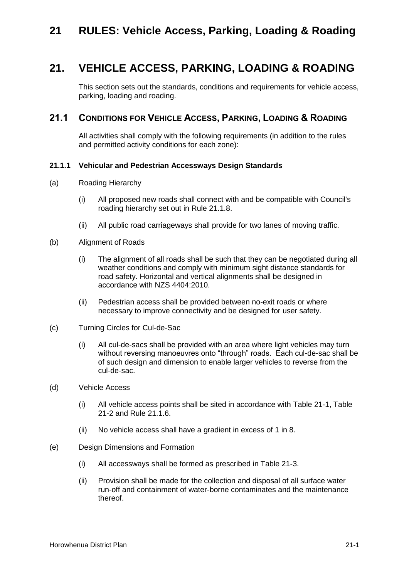# **21. VEHICLE ACCESS, PARKING, LOADING & ROADING**

This section sets out the standards, conditions and requirements for vehicle access, parking, loading and roading.

## **21.1 CONDITIONS FOR VEHICLE ACCESS, PARKING, LOADING & ROADING**

All activities shall comply with the following requirements (in addition to the rules and permitted activity conditions for each zone):

### **21.1.1 Vehicular and Pedestrian Accessways Design Standards**

- (a) Roading Hierarchy
	- (i) All proposed new roads shall connect with and be compatible with Council's roading hierarchy set out in Rule [21.1.8.](#page-5-0)
	- (ii) All public road carriageways shall provide for two lanes of moving traffic.
- (b) Alignment of Roads
	- (i) The alignment of all roads shall be such that they can be negotiated during all weather conditions and comply with minimum sight distance standards for road safety. Horizontal and vertical alignments shall be designed in accordance with NZS 4404:2010.
	- (ii) Pedestrian access shall be provided between no-exit roads or where necessary to improve connectivity and be designed for user safety.
- (c) Turning Circles for Cul-de-Sac
	- (i) All cul-de-sacs shall be provided with an area where light vehicles may turn without reversing manoeuvres onto "through" roads. Each cul-de-sac shall be of such design and dimension to enable larger vehicles to reverse from the cul-de-sac.
- (d) Vehicle Access
	- (i) All vehicle access points shall be sited in accordance with Table 21-1, Table 21-2 and Rule [21.1.6.](#page-3-0)
	- (ii) No vehicle access shall have a gradient in excess of 1 in 8.
- (e) Design Dimensions and Formation
	- (i) All accessways shall be formed as prescribed in Table 21-3.
	- (ii) Provision shall be made for the collection and disposal of all surface water run-off and containment of water-borne contaminates and the maintenance thereof.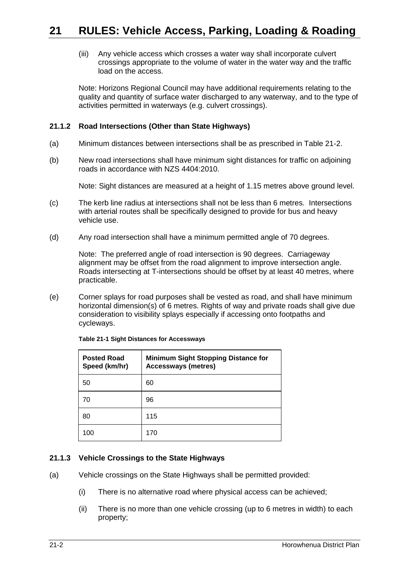(iii) Any vehicle access which crosses a water way shall incorporate culvert crossings appropriate to the volume of water in the water way and the traffic load on the access.

Note: Horizons Regional Council may have additional requirements relating to the quality and quantity of surface water discharged to any waterway, and to the type of activities permitted in waterways (e.g. culvert crossings).

## **21.1.2 Road Intersections (Other than State Highways)**

- (a) Minimum distances between intersections shall be as prescribed in Table 21-2.
- (b) New road intersections shall have minimum sight distances for traffic on adjoining roads in accordance with NZS 4404:2010.

Note: Sight distances are measured at a height of 1.15 metres above ground level.

- (c) The kerb line radius at intersections shall not be less than 6 metres. Intersections with arterial routes shall be specifically designed to provide for bus and heavy vehicle use.
- (d) Any road intersection shall have a minimum permitted angle of 70 degrees.

Note: The preferred angle of road intersection is 90 degrees. Carriageway alignment may be offset from the road alignment to improve intersection angle. Roads intersecting at T-intersections should be offset by at least 40 metres, where practicable.

(e) Corner splays for road purposes shall be vested as road, and shall have minimum horizontal dimension(s) of 6 metres. Rights of way and private roads shall give due consideration to visibility splays especially if accessing onto footpaths and cycleways.

| <b>Posted Road</b><br>Speed (km/hr) | <b>Minimum Sight Stopping Distance for</b><br><b>Accessways (metres)</b> |  |
|-------------------------------------|--------------------------------------------------------------------------|--|
| 50                                  | 60                                                                       |  |
| 70                                  | 96                                                                       |  |
| 80                                  | 115                                                                      |  |
| 100                                 | 170                                                                      |  |

**Table 21-1 Sight Distances for Accessways**

#### **21.1.3 Vehicle Crossings to the State Highways**

- (a) Vehicle crossings on the State Highways shall be permitted provided:
	- (i) There is no alternative road where physical access can be achieved;
	- (ii) There is no more than one vehicle crossing (up to 6 metres in width) to each property;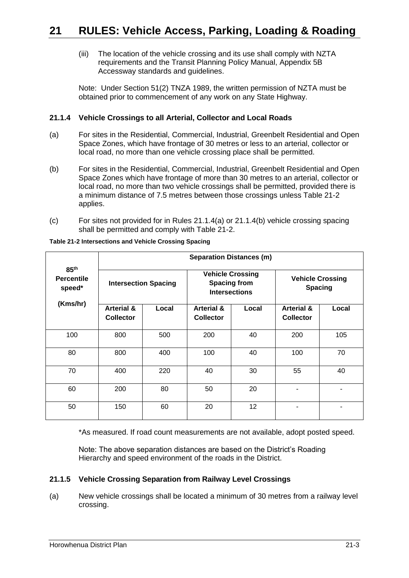(iii) The location of the vehicle crossing and its use shall comply with NZTA requirements and the Transit Planning Policy Manual, Appendix 5B Accessway standards and guidelines.

Note: Under Section 51(2) TNZA 1989, the written permission of NZTA must be obtained prior to commencement of any work on any State Highway.

## <span id="page-2-1"></span>**21.1.4 Vehicle Crossings to all Arterial, Collector and Local Roads**

- <span id="page-2-0"></span>(a) For sites in the Residential, Commercial, Industrial, Greenbelt Residential and Open Space Zones, which have frontage of 30 metres or less to an arterial, collector or local road, no more than one vehicle crossing place shall be permitted.
- (b) For sites in the Residential, Commercial, Industrial, Greenbelt Residential and Open Space Zones which have frontage of more than 30 metres to an arterial, collector or local road, no more than two vehicle crossings shall be permitted, provided there is a minimum distance of 7.5 metres between those crossings unless Table 21-2 applies.
- (c) For sites not provided for in Rules [21.1.4\(a\)](#page-2-0) or [21.1.4\(](#page-2-1)b) vehicle crossing spacing shall be permitted and comply with Table 21-2.

|                                                             | <b>Separation Distances (m)</b>           |       |                                                                        |       |                                           |       |
|-------------------------------------------------------------|-------------------------------------------|-------|------------------------------------------------------------------------|-------|-------------------------------------------|-------|
| 85 <sup>th</sup><br><b>Percentile</b><br>speed*<br>(Kms/hr) | <b>Intersection Spacing</b>               |       | <b>Vehicle Crossing</b><br><b>Spacing from</b><br><b>Intersections</b> |       | <b>Vehicle Crossing</b><br><b>Spacing</b> |       |
|                                                             | <b>Arterial &amp;</b><br><b>Collector</b> | Local | <b>Arterial &amp;</b><br><b>Collector</b>                              | Local | <b>Arterial &amp;</b><br><b>Collector</b> | Local |
| 100                                                         | 800                                       | 500   | 200                                                                    | 40    | 200                                       | 105   |
| 80                                                          | 800                                       | 400   | 100                                                                    | 40    | 100                                       | 70    |
| 70                                                          | 400                                       | 220   | 40                                                                     | 30    | 55                                        | 40    |
| 60                                                          | 200                                       | 80    | 50                                                                     | 20    |                                           |       |
| 50                                                          | 150                                       | 60    | 20                                                                     | 12    |                                           |       |

**Table 21-2 Intersections and Vehicle Crossing Spacing**

\*As measured. If road count measurements are not available, adopt posted speed.

Note: The above separation distances are based on the District's Roading Hierarchy and speed environment of the roads in the District.

#### **21.1.5 Vehicle Crossing Separation from Railway Level Crossings**

(a) New vehicle crossings shall be located a minimum of 30 metres from a railway level crossing.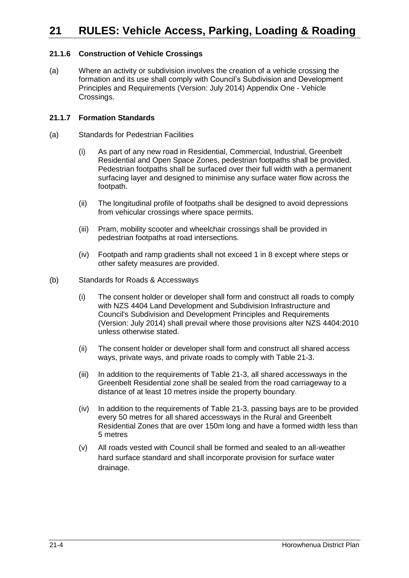# **21 RULES: Vehicle Access, Parking, Loading & Roading**

## <span id="page-3-0"></span>**21.1.6 Construction of Vehicle Crossings**

(a) Where an activity or subdivision involves the creation of a vehicle crossing the formation and its use shall comply with Council's Subdivision and Development Principles and Requirements (Version: July 2014) Appendix One - Vehicle Crossings.

#### **21.1.7 Formation Standards**

- (a) Standards for Pedestrian Facilities
	- (i) As part of any new road in Residential, Commercial, Industrial, Greenbelt Residential and Open Space Zones, pedestrian footpaths shall be provided. Pedestrian footpaths shall be surfaced over their full width with a permanent surfacing layer and designed to minimise any surface water flow across the footpath.
	- (ii) The longitudinal profile of footpaths shall be designed to avoid depressions from vehicular crossings where space permits.
	- (iii) Pram, mobility scooter and wheelchair crossings shall be provided in pedestrian footpaths at road intersections.
	- (iv) Footpath and ramp gradients shall not exceed 1 in 8 except where steps or other safety measures are provided.
- (b) Standards for Roads & Accessways
	- (i) The consent holder or developer shall form and construct all roads to comply with NZS 4404 Land Development and Subdivision Infrastructure and Council's Subdivision and Development Principles and Requirements (Version: July 2014) shall prevail where those provisions alter NZS 4404:2010 unless otherwise stated.
	- (ii) The consent holder or developer shall form and construct all shared access ways, private ways, and private roads to comply with Table 21-3.
	- (iii) In addition to the requirements of Table 21-3, all shared accessways in the Greenbelt Residential zone shall be sealed from the road carriageway to a distance of at least 10 metres inside the property boundary.
	- (iv) In addition to the requirements of Table 21-3, passing bays are to be provided every 50 metres for all shared accessways in the Rural and Greenbelt Residential Zones that are over 150m long and have a formed width less than 5 metres
	- (v) All roads vested with Council shall be formed and sealed to an all-weather hard surface standard and shall incorporate provision for surface water drainage.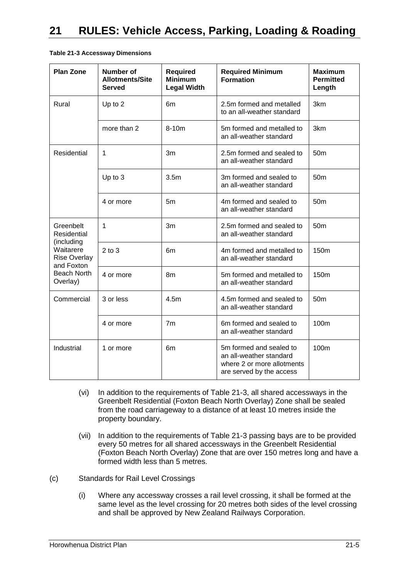| <b>Plan Zone</b>                                                                                                           | <b>Number of</b><br><b>Allotments/Site</b><br><b>Served</b> | <b>Required</b><br><b>Minimum</b><br><b>Legal Width</b>       | <b>Required Minimum</b><br><b>Formation</b>                                                                  | <b>Maximum</b><br><b>Permitted</b><br>Length |
|----------------------------------------------------------------------------------------------------------------------------|-------------------------------------------------------------|---------------------------------------------------------------|--------------------------------------------------------------------------------------------------------------|----------------------------------------------|
| Rural                                                                                                                      | Up to 2                                                     | 6m                                                            | 2.5m formed and metalled<br>to an all-weather standard                                                       | 3km                                          |
|                                                                                                                            | more than 2                                                 | 8-10m<br>5m formed and metalled to<br>an all-weather standard |                                                                                                              | 3km                                          |
| Residential                                                                                                                | 1                                                           | 3m                                                            | 2.5m formed and sealed to<br>an all-weather standard                                                         | 50 <sub>m</sub>                              |
|                                                                                                                            | Up to 3                                                     | 3.5 <sub>m</sub>                                              | 3m formed and sealed to<br>an all-weather standard                                                           | 50 <sub>m</sub>                              |
|                                                                                                                            | 4 or more                                                   | 5m                                                            | 4m formed and sealed to<br>an all-weather standard                                                           | 50 <sub>m</sub>                              |
| Greenbelt<br>Residential<br>(including<br>Waitarere<br><b>Rise Overlay</b><br>and Foxton<br><b>Beach North</b><br>Overlay) | 1                                                           | 3m                                                            | 2.5m formed and sealed to<br>an all-weather standard                                                         | 50 <sub>m</sub>                              |
|                                                                                                                            | $2$ to $3$                                                  | 6m                                                            | 4m formed and metalled to<br>an all-weather standard                                                         | 150m                                         |
|                                                                                                                            | 4 or more                                                   | 8m                                                            | 5m formed and metalled to<br>an all-weather standard                                                         | 150m                                         |
| Commercial                                                                                                                 | 3 or less                                                   | 4.5m                                                          | 4.5m formed and sealed to<br>an all-weather standard                                                         | 50 <sub>m</sub>                              |
|                                                                                                                            | 4 or more                                                   | 7 <sub>m</sub>                                                | 6m formed and sealed to<br>an all-weather standard                                                           | 100m                                         |
| Industrial                                                                                                                 | 1 or more                                                   | 6m                                                            | 5m formed and sealed to<br>an all-weather standard<br>where 2 or more allotments<br>are served by the access | 100m                                         |

**Table 21-3 Accessway Dimensions**

- (vi) In addition to the requirements of Table 21-3, all shared accessways in the Greenbelt Residential (Foxton Beach North Overlay) Zone shall be sealed from the road carriageway to a distance of at least 10 metres inside the property boundary.
- (vii) In addition to the requirements of Table 21-3 passing bays are to be provided every 50 metres for all shared accessways in the Greenbelt Residential (Foxton Beach North Overlay) Zone that are over 150 metres long and have a formed width less than 5 metres.
- (c) Standards for Rail Level Crossings
	- (i) Where any accessway crosses a rail level crossing, it shall be formed at the same level as the level crossing for 20 metres both sides of the level crossing and shall be approved by New Zealand Railways Corporation.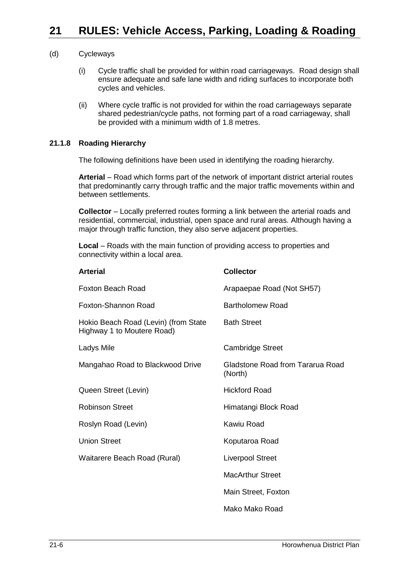#### (d) Cycleways

- (i) Cycle traffic shall be provided for within road carriageways. Road design shall ensure adequate and safe lane width and riding surfaces to incorporate both cycles and vehicles.
- (ii) Where cycle traffic is not provided for within the road carriageways separate shared pedestrian/cycle paths, not forming part of a road carriageway, shall be provided with a minimum width of 1.8 metres.

#### <span id="page-5-0"></span>**21.1.8 Roading Hierarchy**

The following definitions have been used in identifying the roading hierarchy.

**Arterial** – Road which forms part of the network of important district arterial routes that predominantly carry through traffic and the major traffic movements within and between settlements.

**Collector** – Locally preferred routes forming a link between the arterial roads and residential, commercial, industrial, open space and rural areas. Although having a major through traffic function, they also serve adjacent properties.

**Local** – Roads with the main function of providing access to properties and connectivity within a local area.

| <b>Arterial</b>                                                    | <b>Collector</b>                            |
|--------------------------------------------------------------------|---------------------------------------------|
| Foxton Beach Road                                                  | Arapaepae Road (Not SH57)                   |
| Foxton-Shannon Road                                                | <b>Bartholomew Road</b>                     |
| Hokio Beach Road (Levin) (from State<br>Highway 1 to Moutere Road) | <b>Bath Street</b>                          |
| Ladys Mile                                                         | <b>Cambridge Street</b>                     |
| Mangahao Road to Blackwood Drive                                   | Gladstone Road from Tararua Road<br>(North) |
| Queen Street (Levin)                                               | <b>Hickford Road</b>                        |
| <b>Robinson Street</b>                                             | Himatangi Block Road                        |
| Roslyn Road (Levin)                                                | Kawiu Road                                  |
| <b>Union Street</b>                                                | Koputaroa Road                              |
| Waitarere Beach Road (Rural)                                       | <b>Liverpool Street</b>                     |
|                                                                    | <b>MacArthur Street</b>                     |
|                                                                    | Main Street, Foxton                         |
|                                                                    | Mako Mako Road                              |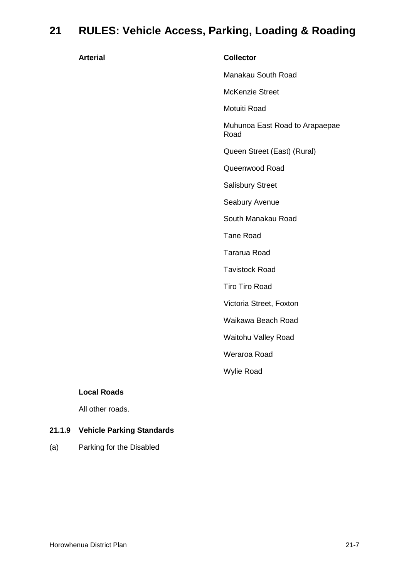# **21 RULES: Vehicle Access, Parking, Loading & Roading**

| <b>Arterial</b> | <b>Collector</b>                       |
|-----------------|----------------------------------------|
|                 | Manakau South Road                     |
|                 | <b>McKenzie Street</b>                 |
|                 | Motuiti Road                           |
|                 | Muhunoa East Road to Arapaepae<br>Road |
|                 | Queen Street (East) (Rural)            |
|                 | Queenwood Road                         |
|                 | <b>Salisbury Street</b>                |
|                 | Seabury Avenue                         |
|                 | South Manakau Road                     |
|                 | <b>Tane Road</b>                       |
|                 | <b>Tararua Road</b>                    |
|                 | <b>Tavistock Road</b>                  |
|                 | <b>Tiro Tiro Road</b>                  |
|                 | Victoria Street, Foxton                |
|                 | Waikawa Beach Road                     |
|                 | Waitohu Valley Road                    |
|                 | Weraroa Road                           |
|                 | <b>Wylie Road</b>                      |

#### **Local Roads**

All other roads.

## **21.1.9 Vehicle Parking Standards**

(a) Parking for the Disabled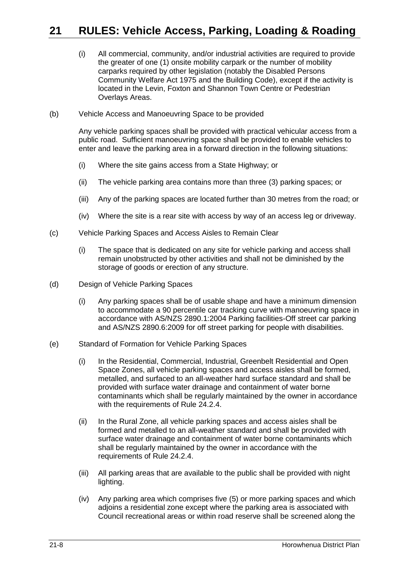## **21 RULES: Vehicle Access, Parking, Loading & Roading**

- (i) All commercial, community, and/or industrial activities are required to provide the greater of one (1) onsite mobility carpark or the number of mobility carparks required by other legislation (notably the Disabled Persons Community Welfare Act 1975 and the Building Code), except if the activity is located in the Levin, Foxton and Shannon Town Centre or Pedestrian Overlays Areas.
- (b) Vehicle Access and Manoeuvring Space to be provided

Any vehicle parking spaces shall be provided with practical vehicular access from a public road. Sufficient manoeuvring space shall be provided to enable vehicles to enter and leave the parking area in a forward direction in the following situations:

- (i) Where the site gains access from a State Highway; or
- (ii) The vehicle parking area contains more than three (3) parking spaces; or
- (iii) Any of the parking spaces are located further than 30 metres from the road; or
- (iv) Where the site is a rear site with access by way of an access leg or driveway.
- (c) Vehicle Parking Spaces and Access Aisles to Remain Clear
	- (i) The space that is dedicated on any site for vehicle parking and access shall remain unobstructed by other activities and shall not be diminished by the storage of goods or erection of any structure.
- (d) Design of Vehicle Parking Spaces
	- (i) Any parking spaces shall be of usable shape and have a minimum dimension to accommodate a 90 percentile car tracking curve with manoeuvring space in accordance with AS/NZS 2890.1:2004 Parking facilities-Off street car parking and AS/NZS 2890.6:2009 for off street parking for people with disabilities.
- (e) Standard of Formation for Vehicle Parking Spaces
	- (i) In the Residential, Commercial, Industrial, Greenbelt Residential and Open Space Zones, all vehicle parking spaces and access aisles shall be formed, metalled, and surfaced to an all-weather hard surface standard and shall be provided with surface water drainage and containment of water borne contaminants which shall be regularly maintained by the owner in accordance with the requirements of Rule 24.2.4.
	- (ii) In the Rural Zone, all vehicle parking spaces and access aisles shall be formed and metalled to an all-weather standard and shall be provided with surface water drainage and containment of water borne contaminants which shall be regularly maintained by the owner in accordance with the requirements of Rule 24.2.4.
	- (iii) All parking areas that are available to the public shall be provided with night lighting.
	- (iv) Any parking area which comprises five (5) or more parking spaces and which adjoins a residential zone except where the parking area is associated with Council recreational areas or within road reserve shall be screened along the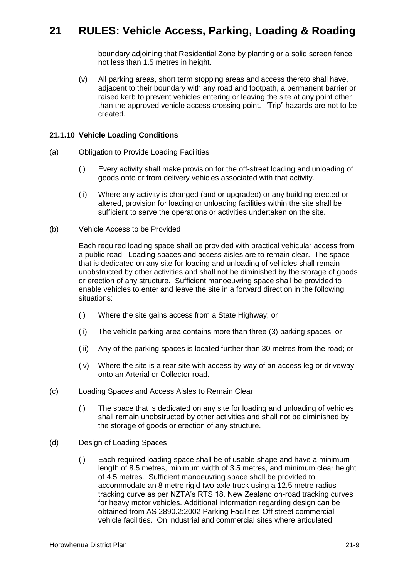boundary adjoining that Residential Zone by planting or a solid screen fence not less than 1.5 metres in height.

(v) All parking areas, short term stopping areas and access thereto shall have, adjacent to their boundary with any road and footpath, a permanent barrier or raised kerb to prevent vehicles entering or leaving the site at any point other than the approved vehicle access crossing point. "Trip" hazards are not to be created.

#### **21.1.10 Vehicle Loading Conditions**

- (a) Obligation to Provide Loading Facilities
	- (i) Every activity shall make provision for the off-street loading and unloading of goods onto or from delivery vehicles associated with that activity.
	- (ii) Where any activity is changed (and or upgraded) or any building erected or altered, provision for loading or unloading facilities within the site shall be sufficient to serve the operations or activities undertaken on the site.
- (b) Vehicle Access to be Provided

Each required loading space shall be provided with practical vehicular access from a public road. Loading spaces and access aisles are to remain clear. The space that is dedicated on any site for loading and unloading of vehicles shall remain unobstructed by other activities and shall not be diminished by the storage of goods or erection of any structure. Sufficient manoeuvring space shall be provided to enable vehicles to enter and leave the site in a forward direction in the following situations:

- (i) Where the site gains access from a State Highway; or
- (ii) The vehicle parking area contains more than three (3) parking spaces; or
- (iii) Any of the parking spaces is located further than 30 metres from the road; or
- (iv) Where the site is a rear site with access by way of an access leg or driveway onto an Arterial or Collector road.
- (c) Loading Spaces and Access Aisles to Remain Clear
	- (i) The space that is dedicated on any site for loading and unloading of vehicles shall remain unobstructed by other activities and shall not be diminished by the storage of goods or erection of any structure.
- (d) Design of Loading Spaces
	- (i) Each required loading space shall be of usable shape and have a minimum length of 8.5 metres, minimum width of 3.5 metres, and minimum clear height of 4.5 metres. Sufficient manoeuvring space shall be provided to accommodate an 8 metre rigid two-axle truck using a 12.5 metre radius tracking curve as per NZTA's RTS 18, New Zealand on-road tracking curves for heavy motor vehicles. Additional information regarding design can be obtained from AS 2890.2:2002 Parking Facilities-Off street commercial vehicle facilities. On industrial and commercial sites where articulated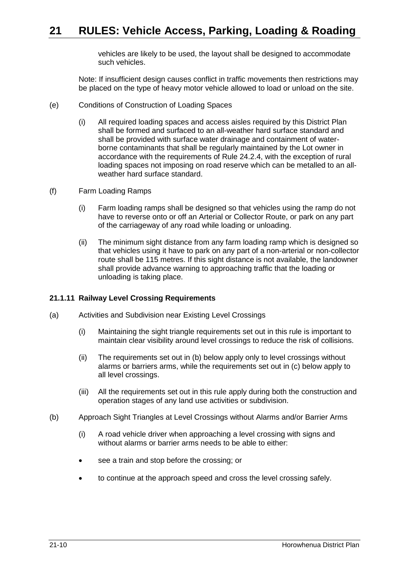vehicles are likely to be used, the layout shall be designed to accommodate such vehicles.

Note: If insufficient design causes conflict in traffic movements then restrictions may be placed on the type of heavy motor vehicle allowed to load or unload on the site.

- (e) Conditions of Construction of Loading Spaces
	- (i) All required loading spaces and access aisles required by this District Plan shall be formed and surfaced to an all-weather hard surface standard and shall be provided with surface water drainage and containment of waterborne contaminants that shall be regularly maintained by the Lot owner in accordance with the requirements of Rule 24.2.4, with the exception of rural loading spaces not imposing on road reserve which can be metalled to an allweather hard surface standard.
- (f) Farm Loading Ramps
	- (i) Farm loading ramps shall be designed so that vehicles using the ramp do not have to reverse onto or off an Arterial or Collector Route, or park on any part of the carriageway of any road while loading or unloading.
	- (ii) The minimum sight distance from any farm loading ramp which is designed so that vehicles using it have to park on any part of a non-arterial or non-collector route shall be 115 metres. If this sight distance is not available, the landowner shall provide advance warning to approaching traffic that the loading or unloading is taking place.

## **21.1.11 Railway Level Crossing Requirements**

- (a) Activities and Subdivision near Existing Level Crossings
	- (i) Maintaining the sight triangle requirements set out in this rule is important to maintain clear visibility around level crossings to reduce the risk of collisions.
	- (ii) The requirements set out in (b) below apply only to level crossings without alarms or barriers arms, while the requirements set out in (c) below apply to all level crossings.
	- (iii) All the requirements set out in this rule apply during both the construction and operation stages of any land use activities or subdivision.
- (b) Approach Sight Triangles at Level Crossings without Alarms and/or Barrier Arms
	- (i) A road vehicle driver when approaching a level crossing with signs and without alarms or barrier arms needs to be able to either:
	- see a train and stop before the crossing; or
	- to continue at the approach speed and cross the level crossing safely.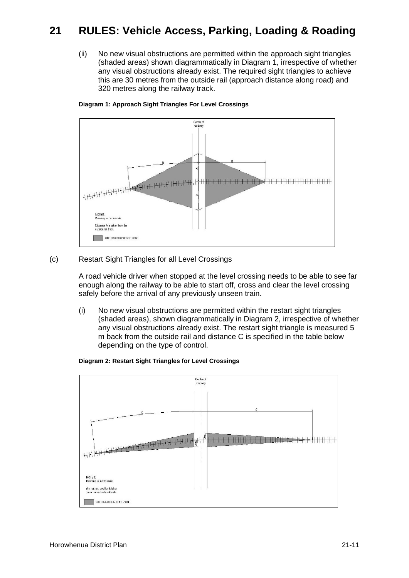(ii) No new visual obstructions are permitted within the approach sight triangles (shaded areas) shown diagrammatically in Diagram 1, irrespective of whether any visual obstructions already exist. The required sight triangles to achieve this are 30 metres from the outside rail (approach distance along road) and 320 metres along the railway track.



#### **Diagram 1: Approach Sight Triangles For Level Crossings**

#### (c) Restart Sight Triangles for all Level Crossings

A road vehicle driver when stopped at the level crossing needs to be able to see far enough along the railway to be able to start off, cross and clear the level crossing safely before the arrival of any previously unseen train.

(i) No new visual obstructions are permitted within the restart sight triangles (shaded areas), shown diagrammatically in Diagram 2, irrespective of whether any visual obstructions already exist. The restart sight triangle is measured 5 m back from the outside rail and distance C is specified in the table below depending on the type of control.

#### **Diagram 2: Restart Sight Triangles for Level Crossings**

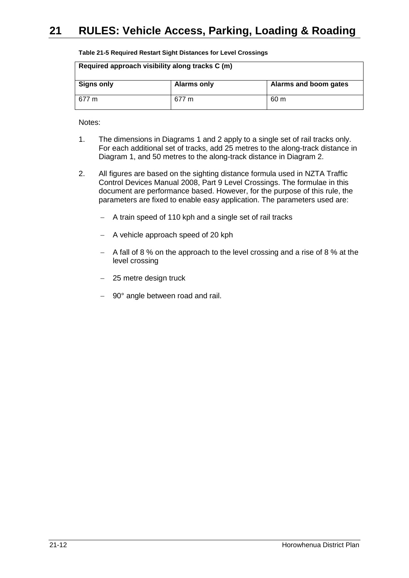| Table 21-5 Required Restart Sight Distances for Level Crossings |  |
|-----------------------------------------------------------------|--|
|-----------------------------------------------------------------|--|

| Required approach visibility along tracks C (m) |                    |                       |  |
|-------------------------------------------------|--------------------|-----------------------|--|
| <b>Signs only</b>                               | <b>Alarms only</b> | Alarms and boom gates |  |
| 677 m                                           | 677 m              | 60 m                  |  |

Notes:

- 1. The dimensions in Diagrams 1 and 2 apply to a single set of rail tracks only. For each additional set of tracks, add 25 metres to the along-track distance in Diagram 1, and 50 metres to the along-track distance in Diagram 2.
- 2. All figures are based on the sighting distance formula used in NZTA Traffic Control Devices Manual 2008, Part 9 Level Crossings. The formulae in this document are performance based. However, for the purpose of this rule, the parameters are fixed to enable easy application. The parameters used are:
	- $-$  A train speed of 110 kph and a single set of rail tracks
	- A vehicle approach speed of 20 kph
	- $-$  A fall of 8 % on the approach to the level crossing and a rise of 8 % at the level crossing
	- 25 metre design truck
	- $-$  90 $^{\circ}$  angle between road and rail.